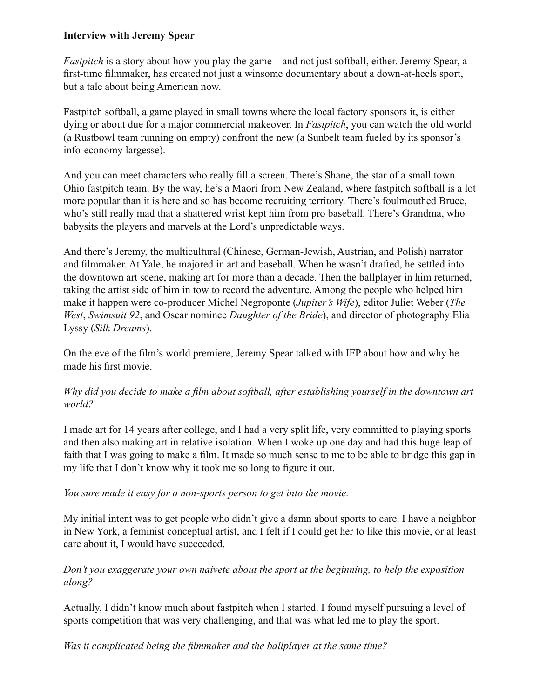#### **Interview with Jeremy Spear**

*Fastpitch* is a story about how you play the game—and not just softball, either. Jeremy Spear, a first-time filmmaker, has created not just a winsome documentary about a down-at-heels sport, but a tale about being American now.

Fastpitch softball, a game played in small towns where the local factory sponsors it, is either dying or about due for a major commercial makeover. In *Fastpitch*, you can watch the old world (a Rustbowl team running on empty) confront the new (a Sunbelt team fueled by its sponsor's info-economy largesse).

And you can meet characters who really fill a screen. There's Shane, the star of a small town Ohio fastpitch team. By the way, he's a Maori from New Zealand, where fastpitch softball is a lot more popular than it is here and so has become recruiting territory. There's foulmouthed Bruce, who's still really mad that a shattered wrist kept him from pro baseball. There's Grandma, who babysits the players and marvels at the Lord's unpredictable ways.

And there's Jeremy, the multicultural (Chinese, German-Jewish, Austrian, and Polish) narrator and filmmaker. At Yale, he majored in art and baseball. When he wasn't drafted, he settled into the downtown art scene, making art for more than a decade. Then the ballplayer in him returned, taking the artist side of him in tow to record the adventure. Among the people who helped him make it happen were co-producer Michel Negroponte (*Jupiter's Wife*), editor Juliet Weber (*The West*, *Swimsuit 92*, and Oscar nominee *Daughter of the Bride*), and director of photography Elia Lyssy (*Silk Dreams*).

On the eve of the film's world premiere, Jeremy Spear talked with IFP about how and why he made his first movie.

## Why did you decide to make a film about softball, after establishing yourself in the downtown art *world?*

I made art for 14 years after college, and I had a very split life, very committed to playing sports and then also making art in relative isolation. When I woke up one day and had this huge leap of faith that I was going to make a film. It made so much sense to me to be able to bridge this gap in my life that I don't know why it took me so long to figure it out.

#### *You sure made it easy for a non-sports person to get into the movie.*

My initial intent was to get people who didn't give a damn about sports to care. I have a neighbor in New York, a feminist conceptual artist, and I felt if I could get her to like this movie, or at least care about it, I would have succeeded.

## *Don't you exaggerate your own naivete about the sport at the beginning, to help the exposition along?*

Actually, I didn't know much about fastpitch when I started. I found myself pursuing a level of sports competition that was very challenging, and that was what led me to play the sport.

*Was it complicated being the filmmaker and the ballplayer at the same time?*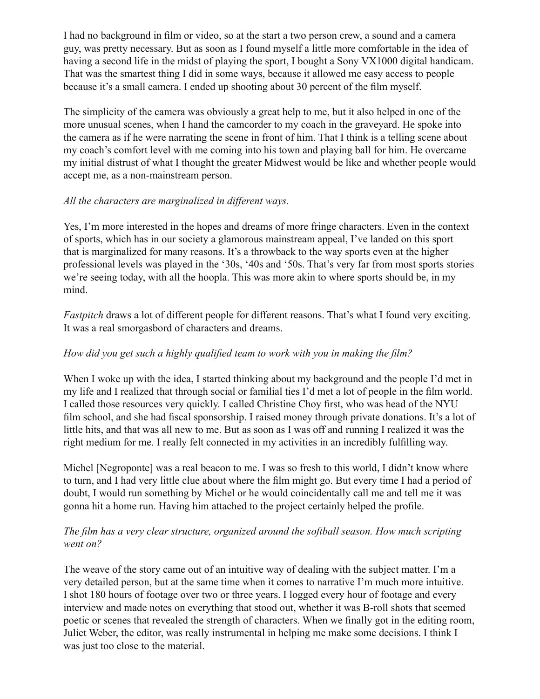I had no background in film or video, so at the start a two person crew, a sound and a camera guy, was pretty necessary. But as soon as I found myself a little more comfortable in the idea of having a second life in the midst of playing the sport, I bought a Sony VX1000 digital handicam. That was the smartest thing I did in some ways, because it allowed me easy access to people because it's a small camera. I ended up shooting about 30 percent of the film myself.

The simplicity of the camera was obviously a great help to me, but it also helped in one of the more unusual scenes, when I hand the camcorder to my coach in the graveyard. He spoke into the camera as if he were narrating the scene in front of him. That I think is a telling scene about my coach's comfort level with me coming into his town and playing ball for him. He overcame my initial distrust of what I thought the greater Midwest would be like and whether people would accept me, as a non-mainstream person.

## *All the characters are marginalized in different ways.*

Yes, I'm more interested in the hopes and dreams of more fringe characters. Even in the context of sports, which has in our society a glamorous mainstream appeal, I've landed on this sport that is marginalized for many reasons. It's a throwback to the way sports even at the higher professional levels was played in the '30s, '40s and '50s. That's very far from most sports stories we're seeing today, with all the hoopla. This was more akin to where sports should be, in my mind.

*Fastpitch* draws a lot of different people for different reasons. That's what I found very exciting. It was a real smorgasbord of characters and dreams.

# *How did you get such a highly qualified team to work with you in making the film?*

When I woke up with the idea, I started thinking about my background and the people I'd met in my life and I realized that through social or familial ties I'd met a lot of people in the film world. I called those resources very quickly. I called Christine Choy first, who was head of the NYU film school, and she had fiscal sponsorship. I raised money through private donations. It's a lot of little hits, and that was all new to me. But as soon as I was off and running I realized it was the right medium for me. I really felt connected in my activities in an incredibly fulfilling way.

Michel [Negroponte] was a real beacon to me. I was so fresh to this world, I didn't know where to turn, and I had very little clue about where the film might go. But every time I had a period of doubt, I would run something by Michel or he would coincidentally call me and tell me it was gonna hit a home run. Having him attached to the project certainly helped the profile.

## *The film has a very clear structure, organized around the softball season. How much scripting went on?*

The weave of the story came out of an intuitive way of dealing with the subject matter. I'm a very detailed person, but at the same time when it comes to narrative I'm much more intuitive. I shot 180 hours of footage over two or three years. I logged every hour of footage and every interview and made notes on everything that stood out, whether it was B-roll shots that seemed poetic or scenes that revealed the strength of characters. When we finally got in the editing room, Juliet Weber, the editor, was really instrumental in helping me make some decisions. I think I was just too close to the material.